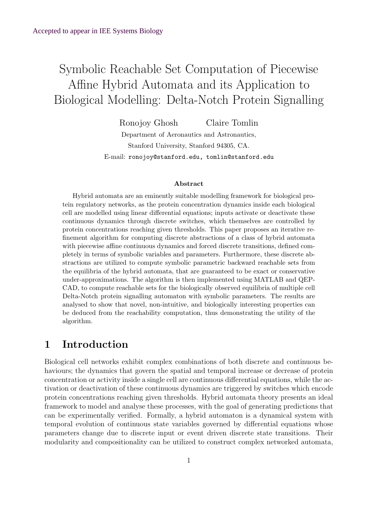# Symbolic Reachable Set Computation of Piecewise Affine Hybrid Automata and its Application to Biological Modelling: Delta-Notch Protein Signalling

Ronojoy Ghosh Claire Tomlin Department of Aeronautics and Astronautics, Stanford University, Stanford 94305, CA. E-mail: ronojoy@stanford.edu, tomlin@stanford.edu

#### **Abstract**

Hybrid automata are an eminently suitable modelling framework for biological protein regulatory networks, as the protein concentration dynamics inside each biological cell are modelled using linear differential equations; inputs activate or deactivate these continuous dynamics through discrete switches, which themselves are controlled by protein concentrations reaching given thresholds. This paper proposes an iterative refinement algorithm for computing discrete abstractions of a class of hybrid automata with piecewise affine continuous dynamics and forced discrete transitions, defined completely in terms of symbolic variables and parameters. Furthermore, these discrete abstractions are utilized to compute symbolic parametric backward reachable sets from the equilibria of the hybrid automata, that are guaranteed to be exact or conservative under-approximations. The algorithm is then implemented using MATLAB and QEP-CAD, to compute reachable sets for the biologically observed equilibria of multiple cell Delta-Notch protein signalling automaton with symbolic parameters. The results are analysed to show that novel, non-intuitive, and biologically interesting properties can be deduced from the reachability computation, thus demonstrating the utility of the algorithm.

# **1 Introduction**

Biological cell networks exhibit complex combinations of both discrete and continuous behaviours; the dynamics that govern the spatial and temporal increase or decrease of protein concentration or activity inside a single cell are continuous differential equations, while the activation or deactivation of these continuous dynamics are triggered by switches which encode protein concentrations reaching given thresholds. Hybrid automata theory presents an ideal framework to model and analyse these processes, with the goal of generating predictions that can be experimentally verified. Formally, a hybrid automaton is a dynamical system with temporal evolution of continuous state variables governed by differential equations whose parameters change due to discrete input or event driven discrete state transitions. Their modularity and compositionality can be utilized to construct complex networked automata,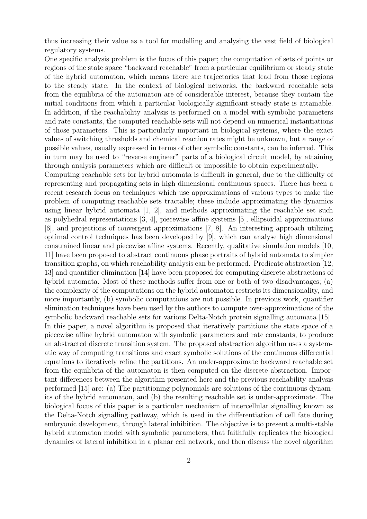thus increasing their value as a tool for modelling and analysing the vast field of biological regulatory systems.

One specific analysis problem is the focus of this paper; the computation of sets of points or regions of the state space "backward reachable" from a particular equilibrium or steady state of the hybrid automaton, which means there are trajectories that lead from those regions to the steady state. In the context of biological networks, the backward reachable sets from the equilibria of the automaton are of considerable interest, because they contain the initial conditions from which a particular biologically significant steady state is attainable. In addition, if the reachability analysis is performed on a model with symbolic parameters and rate constants, the computed reachable sets will not depend on numerical instantiations of those parameters. This is particularly important in biological systems, where the exact values of switching thresholds and chemical reaction rates might be unknown, but a range of possible values, usually expressed in terms of other symbolic constants, can be inferred. This in turn may be used to "reverse engineer" parts of a biological circuit model, by attaining through analysis parameters which are difficult or impossible to obtain experimentally.

Computing reachable sets for hybrid automata is difficult in general, due to the difficulty of representing and propagating sets in high dimensional continuous spaces. There has been a recent research focus on techniques which use approximations of various types to make the problem of computing reachable sets tractable; these include approximating the dynamics using linear hybrid automata [1, 2], and methods approximating the reachable set such as polyhedral representations [3, 4], piecewise affine systems [5], ellipsoidal approximations [6], and projections of convergent approximations [7, 8]. An interesting approach utilizing optimal control techniques has been developed by [9], which can analyse high dimensional constrained linear and piecewise affine systems. Recently, qualitative simulation models [10, 11] have been proposed to abstract continuous phase portraits of hybrid automata to simpler transition graphs, on which reachability analysis can be performed. Predicate abstraction [12, 13] and quantifier elimination [14] have been proposed for computing discrete abstractions of hybrid automata. Most of these methods suffer from one or both of two disadvantages; (a) the complexity of the computations on the hybrid automaton restricts its dimensionality, and more importantly, (b) symbolic computations are not possible. In previous work, quantifier elimination techniques have been used by the authors to compute over-approximations of the symbolic backward reachable sets for various Delta-Notch protein signalling automata [15]. In this paper, a novel algorithm is proposed that iteratively partitions the state space of a piecewise affine hybrid automaton with symbolic parameters and rate constants, to produce an abstracted discrete transition system. The proposed abstraction algorithm uses a systematic way of computing transitions and exact symbolic solutions of the continuous differential equations to iteratively refine the partitions. An under-approximate backward reachable set from the equilibria of the automaton is then computed on the discrete abstraction. Important differences between the algorithm presented here and the previous reachability analysis performed [15] are: (a) The partitioning polynomials are solutions of the continuous dynamics of the hybrid automaton, and (b) the resulting reachable set is under-approximate. The biological focus of this paper is a particular mechanism of intercellular signalling known as the Delta-Notch signalling pathway, which is used in the differentiation of cell fate during embryonic development, through lateral inhibition. The objective is to present a multi-stable hybrid automaton model with symbolic parameters, that faithfully replicates the biological dynamics of lateral inhibition in a planar cell network, and then discuss the novel algorithm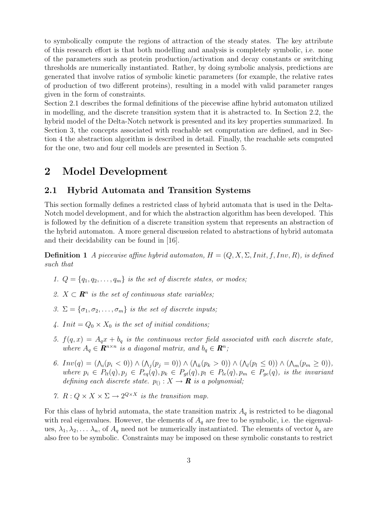to symbolically compute the regions of attraction of the steady states. The key attribute of this research effort is that both modelling and analysis is completely symbolic, i.e. none of the parameters such as protein production/activation and decay constants or switching thresholds are numerically instantiated. Rather, by doing symbolic analysis, predictions are generated that involve ratios of symbolic kinetic parameters (for example, the relative rates of production of two different proteins), resulting in a model with valid parameter ranges given in the form of constraints.

Section 2.1 describes the formal definitions of the piecewise affine hybrid automaton utilized in modelling, and the discrete transition system that it is abstracted to. In Section 2.2, the hybrid model of the Delta-Notch network is presented and its key properties summarized. In Section 3, the concepts associated with reachable set computation are defined, and in Section 4 the abstraction algorithm is described in detail. Finally, the reachable sets computed for the one, two and four cell models are presented in Section 5.

# **2 Model Development**

### **2.1 Hybrid Automata and Transition Systems**

This section formally defines a restricted class of hybrid automata that is used in the Delta-Notch model development, and for which the abstraction algorithm has been developed. This is followed by the definition of a discrete transition system that represents an abstraction of the hybrid automaton. A more general discussion related to abstractions of hybrid automata and their decidability can be found in [16].

**Definition 1** A piecewise affine hybrid automaton,  $H = (Q, X, \Sigma,Init, f, Inv, R)$ , is defined such that

- 1.  $Q = \{q_1, q_2, \ldots, q_m\}$  is the set of discrete states, or modes;
- 2.  $X \subset \mathbf{R}^n$  is the set of continuous state variables;
- 3.  $\Sigma = {\sigma_1, \sigma_2, \ldots, \sigma_m}$  is the set of discrete inputs;
- 4. Init =  $Q_0 \times X_0$  is the set of initial conditions;
- 5.  $f(q, x) = A_q x + b_q$  is the continuous vector field associated with each discrete state,<br>where  $A \in \mathbf{R}^{n \times n}$  is a diagonal matrix, and  $b \in \mathbf{R}^n$ . where  $A_q \in \mathbf{R}^{n \times n}$  is a diagonal matrix, and  $b_q \in \mathbf{R}^n$ ;
- 6.  $Inv(q) = (\bigwedge_i (p_i < 0)) \wedge (\bigwedge_j (p_j = 0)) \wedge (\bigwedge_k (p_k > 0)) \wedge (\bigwedge_l (p_l \le 0)) \wedge (\bigwedge_m (p_m \ge 0)),$ <br>where  $p_i \in P_i(q)$ ,  $p_i \in P_j(q)$ ,  $p_i \in P_j(q)$ ,  $p_i \in P_j(q)$ ,  $p_i \in P_j(q)$ , is the invariant where  $p_i \in P_{lt}(q), p_j \in P_{eq}(q), p_k \in P_{gt}(q), p_l \in P_{le}(q), p_m \in P_{ge}(q),$  is the invariant defining each discrete state.  $p_{()}: X \rightarrow \mathbf{R}$  is a polynomial;
- 7.  $R: Q \times X \times \Sigma \rightarrow 2^{Q \times X}$  is the transition map.

For this class of hybrid automata, the state transition matrix  $A<sub>q</sub>$  is restricted to be diagonal with real eigenvalues. However, the elements of  $A<sub>q</sub>$  are free to be symbolic, i.e. the eigenvalues,  $\lambda_1, \lambda_2, \ldots, \lambda_n$ , of  $A_q$  need not be numerically instantiated. The elements of vector  $b_q$  are also free to be symbolic. Constraints may be imposed on these symbolic constants to restrict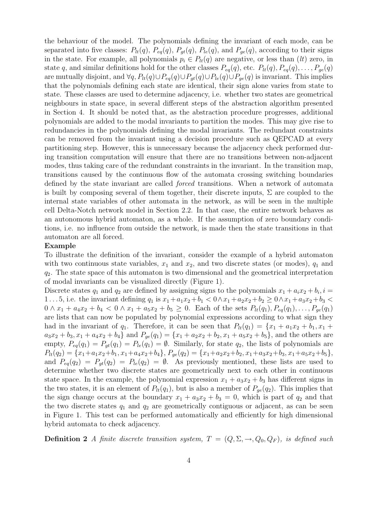the behaviour of the model. The polynomials defining the invariant of each mode, can be separated into five classes:  $P_{lt}(q)$ ,  $P_{eq}(q)$ ,  $P_{qt}(q)$ ,  $P_{le}(q)$ , and  $P_{qe}(q)$ , according to their signs in the state. For example, all polynomials  $p_i \in P_{lt}(q)$  are negative, or less than (*lt*) zero, in state q, and similar definitions hold for the other classes  $P_{eq}(q)$ , etc.  $P_{lt}(q)$ ,  $P_{eq}(q)$ , ...,  $P_{ge}(q)$ are mutually disjoint, and  $\forall q, P_{lt}(q) \cup P_{eq}(q) \cup P_{qt}(q) \cup P_{le}(q) \cup P_{ge}(q)$  is invariant. This implies that the polynomials defining each state are identical, their sign alone varies from state to state. These classes are used to determine adjacency, i.e. whether two states are geometrical neighbours in state space, in several different steps of the abstraction algorithm presented in Section 4. It should be noted that, as the abstraction procedure progresses, additional polynomials are added to the modal invariants to partition the modes. This may give rise to redundancies in the polynomials defining the modal invariants. The redundant constraints can be removed from the invariant using a decision procedure such as QEPCAD at every partitioning step. However, this is unnecessary because the adjacency check performed during transition computation will ensure that there are no transitions between non-adjacent modes, thus taking care of the redundant constraints in the invariant. In the transition map, transitions caused by the continuous flow of the automata crossing switching boundaries defined by the state invariant are called forced transitions. When a network of automata is built by composing several of them together, their discrete inputs,  $\Sigma$  are coupled to the internal state variables of other automata in the network, as will be seen in the multiple cell Delta-Notch network model in Section 2.2. In that case, the entire network behaves as an autonomous hybrid automaton, as a whole. If the assumption of zero boundary conditions, i.e. no influence from outside the network, is made then the state transitions in that automaton are all forced.

#### **Example**

To illustrate the definition of the invariant, consider the example of a hybrid automaton with two continuous state variables,  $x_1$  and  $x_2$ , and two discrete states (or modes),  $q_1$  and  $q_2$ . The state space of this automaton is two dimensional and the geometrical interpretation of modal invariants can be visualized directly (Figure 1).

Discrete states  $q_1$  and  $q_2$  are defined by assigning signs to the polynomials  $x_1 + a_i x_2 + b_i$ ,  $i =$ 1... 5, i.e. the invariant defining  $q_1$  is  $x_1 + a_1x_2 + b_1 < 0 \wedge x_1 + a_2x_2 + b_2 \ge 0 \wedge x_1 + a_3x_2 + b_3$  $0 \wedge x_1 + a_4x_2 + b_4 < 0 \wedge x_1 + a_5x_2 + b_5 \geq 0$ . Each of the sets  $P_{lt}(q_1), P_{eq}(q_1), \ldots, P_{ge}(q_1)$ are lists that can now be populated by polynomial expressions according to what sign they had in the invariant of  $q_1$ . Therefore, it can be seen that  $P_{lt}(q_1) = \{x_1 + a_1x_2 + b_1, x_1 + b_2x_2 + b_3\}$  $a_3x_2 + b_3$ ,  $x_1 + a_4x_2 + b_4$  and  $P_{ge}(q_1) = \{x_1 + a_2x_2 + b_2, x_1 + a_5x_2 + b_5\}$ , and the others are empty,  $P_{eq}(q_1) = P_{gt}(q_1) = P_{le}(q_1) = \emptyset$ . Similarly, for state  $q_2$ , the lists of polynomials are  $P_{lt}(q_2) = \{x_1 + a_1x_2 + b_1, x_1 + a_4x_2 + b_4\}, P_{ge}(q_2) = \{x_1 + a_2x_2 + b_2, x_1 + a_3x_2 + b_3, x_1 + a_5x_2 + b_5\},$ and  $P_{eq}(q_2) = P_{qt}(q_2) = P_{le}(q_2) = \emptyset$ . As previously mentioned, these lists are used to determine whether two discrete states are geometrically next to each other in continuous state space. In the example, the polynomial expression  $x_1 + a_3x_2 + b_3$  has different signs in the two states, it is an element of  $P_{lt}(q_1)$ , but is also a member of  $P_{qe}(q_2)$ . This implies that the sign change occurs at the boundary  $x_1 + a_3x_2 + b_3 = 0$ , which is part of  $q_2$  and that the two discrete states  $q_1$  and  $q_2$  are geometrically contiguous or adjacent, as can be seen in Figure 1. This test can be performed automatically and efficiently for high dimensional hybrid automata to check adjacency.

**Definition 2** A finite discrete transition system,  $T = (Q, \Sigma, \rightarrow, Q_0, Q_F)$ , is defined such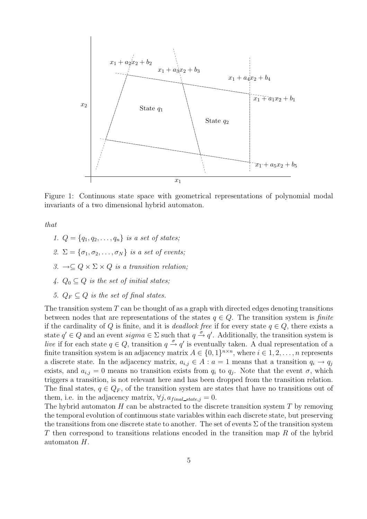

Figure 1: Continuous state space with geometrical representations of polynomial modal invariants of a two dimensional hybrid automaton.

that

- 1.  $Q = \{q_1, q_2, ..., q_n\}$  is a set of states;
- 2.  $\Sigma = {\sigma_1, \sigma_2, \ldots, \sigma_N}$  is a set of events;
- 3.  $\rightarrow \subseteq Q \times \Sigma \times Q$  is a transition relation:
- 4.  $Q_0 \subset Q$  is the set of initial states;
- 5.  $Q_F \subset Q$  is the set of final states.

The transition system  $T$  can be thought of as a graph with directed edges denoting transitions between nodes that are representations of the states  $q \in Q$ . The transition system is finite if the cardinality of Q is finite, and it is *deadlock free* if for every state  $q \in Q$ , there exists a state  $q' \in Q$  and an event sigma  $\in \Sigma$  such that  $q \stackrel{\sigma}{\rightarrow} q'$ . Additionally, the transition system is<br>live if for each state  $q \in Q$  transition  $q \stackrel{\sigma}{\rightarrow} q'$  is eventually taken. A dual representation of a live if for each state  $q \in Q$ , transition  $q \stackrel{\sigma}{\rightarrow} q'$  is eventually taken. A dual representation of a<br>finite transition system is an adjacency matrix  $A \in \{0, 1\}^{n \times n}$  where  $i \in 1, 2, \ldots, n$  represents finite transition system is an adjacency matrix  $A \in \{0,1\}^{n \times n}$ , where  $i \in 1, 2, \ldots, n$  represents a discrete state. In the adjacency matrix,  $a_{i,j} \in A : a = 1$  means that a transition  $q_i \to q_j$ exists, and  $a_{i,j} = 0$  means no transition exists from  $q_i$  to  $q_j$ . Note that the event  $\sigma$ , which triggers a transition, is not relevant here and has been dropped from the transition relation. The final states,  $q \in Q_F$ , of the transition system are states that have no transitions out of them, i.e. in the adjacency matrix,  $\forall j$ ,  $a_{final\_state,j} = 0$ .

The hybrid automaton  $H$  can be abstracted to the discrete transition system  $T$  by removing the temporal evolution of continuous state variables within each discrete state, but preserving the transitions from one discrete state to another. The set of events  $\Sigma$  of the transition system T then correspond to transitions relations encoded in the transition map R of the hybrid automaton H.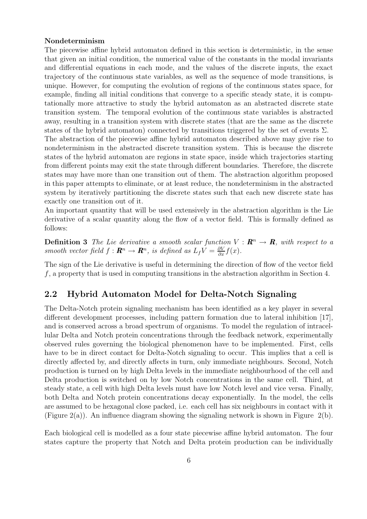#### **Nondeterminism**

The piecewise affine hybrid automaton defined in this section is deterministic, in the sense that given an initial condition, the numerical value of the constants in the modal invariants and differential equations in each mode, and the values of the discrete inputs, the exact trajectory of the continuous state variables, as well as the sequence of mode transitions, is unique. However, for computing the evolution of regions of the continuous states space, for example, finding all initial conditions that converge to a specific steady state, it is computationally more attractive to study the hybrid automaton as an abstracted discrete state transition system. The temporal evolution of the continuous state variables is abstracted away, resulting in a transition system with discrete states (that are the same as the discrete states of the hybrid automaton) connected by transitions triggered by the set of events  $\Sigma$ . The abstraction of the piecewise affine hybrid automaton described above may give rise to nondeterminism in the abstracted discrete transition system. This is because the discrete states of the hybrid automaton are regions in state space, inside which trajectories starting from different points may exit the state through different boundaries. Therefore, the discrete states may have more than one transition out of them. The abstraction algorithm proposed in this paper attempts to eliminate, or at least reduce, the nondeterminism in the abstracted system by iteratively partitioning the discrete states such that each new discrete state has

exactly one transition out of it. An important quantity that will be used extensively in the abstraction algorithm is the Lie derivative of a scalar quantity along the flow of a vector field. This is formally defined as follows:

**Definition 3** The Lie derivative a smooth scalar function  $V : \mathbf{R}^n \to \mathbf{R}$ , with respect to a smooth vector field  $f : \mathbf{R}^n \to \mathbf{R}^n$  is defined as  $L_xV = \frac{\partial V}{\partial x}f(x)$ smooth vector field  $f : \mathbf{R}^n \to \mathbf{R}^n$ , is defined as  $L_f V = \frac{\partial V}{\partial x} f(x)$ .

The sign of the Lie derivative is useful in determining the direction of flow of the vector field f, a property that is used in computing transitions in the abstraction algorithm in Section 4.

### **2.2 Hybrid Automaton Model for Delta-Notch Signaling**

The Delta-Notch protein signaling mechanism has been identified as a key player in several different development processes, including pattern formation due to lateral inhibition [17], and is conserved across a broad spectrum of organisms. To model the regulation of intracellular Delta and Notch protein concentrations through the feedback network, experimentally observed rules governing the biological phenomenon have to be implemented. First, cells have to be in direct contact for Delta-Notch signaling to occur. This implies that a cell is directly affected by, and directly affects in turn, only immediate neighbours. Second, Notch production is turned on by high Delta levels in the immediate neighbourhood of the cell and Delta production is switched on by low Notch concentrations in the same cell. Third, at steady state, a cell with high Delta levels must have low Notch level and vice versa. Finally, both Delta and Notch protein concentrations decay exponentially. In the model, the cells are assumed to be hexagonal close packed, i.e. each cell has six neighbours in contact with it (Figure 2(a)). An influence diagram showing the signaling network is shown in Figure 2(b).

Each biological cell is modelled as a four state piecewise affine hybrid automaton. The four states capture the property that Notch and Delta protein production can be individually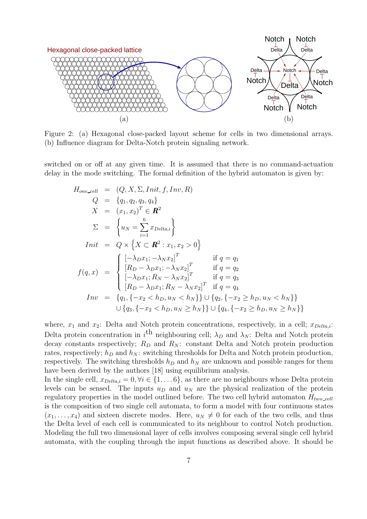

Figure 2: (a) Hexagonal close-packed layout scheme for cells in two dimensional arrays. (b) Influence diagram for Delta-Notch protein signaling network.

switched on or off at any given time. It is assumed that there is no command-actuation delay in the mode switching. The formal definition of the hybrid automaton is given by:

$$
H_{one\text{cell}} = (Q, X, \Sigma,Init, f, Inv, R)
$$
  
\n
$$
Q = \{q_1, q_2, q_3, q_4\}
$$
  
\n
$$
X = (x_1, x_2)^T \in \mathbb{R}^2
$$
  
\n
$$
\Sigma = \left\{u_N = \sum_{i=1}^6 x_{Delta,i}\right\}
$$
  
\n
$$
Init = Q \times \left\{X \subset \mathbb{R}^2 : x_1, x_2 > 0\right\}
$$
  
\n
$$
f(q, x) = \begin{cases} \left[-\lambda_D x_1; -\lambda_N x_2\right]^T & \text{if } q = q_1\\ \left[R_D - \lambda_D x_1; -\lambda_N x_2\right]^T & \text{if } q = q_2\\ \left[-\lambda_D x_1; R_N - \lambda_N x_2\right]^T & \text{if } q = q_3\\ \left[R_D - \lambda_D x_1; R_N - \lambda_N x_2\right]^T & \text{if } q = q_4\\ \left[R_D - \lambda_D x_1; R_N - \lambda_N x_2\right]^T & \text{if } q = q_4\\ \left[R_D - \lambda_D x_1; R_N - \lambda_N x_2\right]^T & \text{if } q = q_4\\ \left[I_{q_3}, \{-x_2 < h_D, u_N \ge h_N\right\} \cup \{q_2, \{-x_2 \ge h_D, u_N \ge h_N\}\right] \end{cases}
$$

where,  $x_1$  and  $x_2$ : Delta and Notch protein concentrations, respectively, in a cell;  $x_{Delta,i}$ : Delta protein concentration in  $i^{\text{th}}$  neighbouring cell;  $\lambda_D$  and  $\lambda_N$ : Delta and Notch protein<br>decay constants respectively:  $B_D$  and  $B_N$ : constant Delta and Notch protein production decay constants respectively;  $R_D$  and  $R_N$ : constant Delta and Notch protein production rates, respectively;  $h_D$  and  $h_N$ : switching thresholds for Delta and Notch protein production, respectively. The switching thresholds  $h_D$  and  $h_N$  are unknown and possible ranges for them have been derived by the authors [18] using equilibrium analysis.

In the single cell,  $x_{Delta,i} = 0, \forall i \in \{1, \ldots 6\}$ , as there are no neighbours whose Delta protein levels can be sensed. The inputs  $u_D$  and  $u_N$  are the physical realization of the protein regulatory properties in the model outlined before. The two cell hybrid automaton  $H_{two\_cell}$ is the composition of two single cell automata, to form a model with four continuous states  $(x_1,...,x_4)$  and sixteen discrete modes. Here,  $u_N \neq 0$  for each of the two cells, and thus the Delta level of each cell is communicated to its neighbour to control Notch production. Modeling the full two dimensional layer of cells involves composing several single cell hybrid automata, with the coupling through the input functions as described above. It should be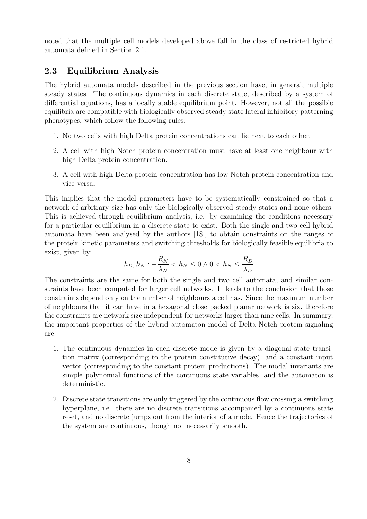noted that the multiple cell models developed above fall in the class of restricted hybrid automata defined in Section 2.1.

### **2.3 Equilibrium Analysis**

The hybrid automata models described in the previous section have, in general, multiple steady states. The continuous dynamics in each discrete state, described by a system of differential equations, has a locally stable equilibrium point. However, not all the possible equilibria are compatible with biologically observed steady state lateral inhibitory patterning phenotypes, which follow the following rules:

- 1. No two cells with high Delta protein concentrations can lie next to each other.
- 2. A cell with high Notch protein concentration must have at least one neighbour with high Delta protein concentration.
- 3. A cell with high Delta protein concentration has low Notch protein concentration and vice versa.

This implies that the model parameters have to be systematically constrained so that a network of arbitrary size has only the biologically observed steady states and none others. This is achieved through equilibrium analysis, i.e. by examining the conditions necessary for a particular equilibrium in a discrete state to exist. Both the single and two cell hybrid automata have been analysed by the authors [18], to obtain constraints on the ranges of the protein kinetic parameters and switching thresholds for biologically feasible equilibria to exist, given by:

$$
h_D, h_N: -\frac{R_N}{\lambda_N} < h_N \le 0 \land 0 < h_N \le \frac{R_D}{\lambda_D}
$$

The constraints are the same for both the single and two cell automata, and similar constraints have been computed for larger cell networks. It leads to the conclusion that those constraints depend only on the number of neighbours a cell has. Since the maximum number of neighbours that it can have in a hexagonal close packed planar network is six, therefore the constraints are network size independent for networks larger than nine cells. In summary, the important properties of the hybrid automaton model of Delta-Notch protein signaling are:

- 1. The continuous dynamics in each discrete mode is given by a diagonal state transition matrix (corresponding to the protein constitutive decay), and a constant input vector (corresponding to the constant protein productions). The modal invariants are simple polynomial functions of the continuous state variables, and the automaton is deterministic.
- 2. Discrete state transitions are only triggered by the continuous flow crossing a switching hyperplane, i.e. there are no discrete transitions accompanied by a continuous state reset, and no discrete jumps out from the interior of a mode. Hence the trajectories of the system are continuous, though not necessarily smooth.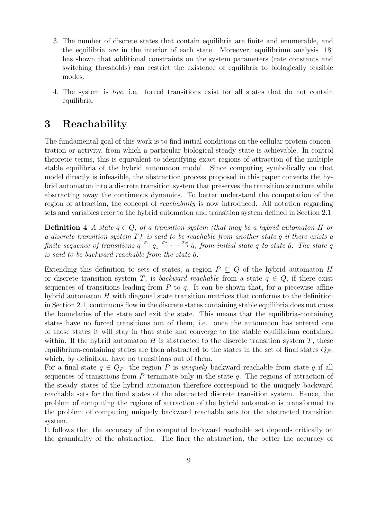- 3. The number of discrete states that contain equilibria are finite and enumerable, and the equilibria are in the interior of each state. Moreover, equilibrium analysis [18] has shown that additional constraints on the system parameters (rate constants and switching thresholds) can restrict the existence of equilibria to biologically feasible modes.
- 4. The system is live, i.e. forced transitions exist for all states that do not contain equilibria.

# **3 Reachability**

The fundamental goal of this work is to find initial conditions on the cellular protein concentration or activity, from which a particular biological steady state is achievable. In control theoretic terms, this is equivalent to identifying exact regions of attraction of the multiple stable equilibria of the hybrid automaton model. Since computing symbolically on that model directly is infeasible, the abstraction process proposed in this paper converts the hybrid automaton into a discrete transition system that preserves the transition structure while abstracting away the continuous dynamics. To better understand the computation of the region of attraction, the concept of reachability is now introduced. All notation regarding sets and variables refer to the hybrid automaton and transition system defined in Section 2.1.

**Definition 4** A state  $\hat{q} \in Q$ , of a transition system (that may be a hybrid automator H or a discrete transition system  $T$ ), is said to be reachable from another state  $q$  if there exists a finite sequence of transitions  $q \stackrel{\sigma_1}{\rightarrow} q_1 \stackrel{\sigma_2}{\rightarrow} \cdots \stackrel{\sigma_N}{\rightarrow} \hat{q}$ , from initial state q to state  $\hat{q}$ . The state q is said to be backward reachable from the state  $\hat{q}$ is said to be backward reachable from the state  $\hat{q}$ .

Extending this definition to sets of states, a region  $P \subseteq Q$  of the hybrid automaton H or discrete transition system T, is *backward reachable* from a state  $q \in Q$ , if there exist sequences of transitions leading from  $P$  to  $q$ . It can be shown that, for a piecewise affine hybrid automaton H with diagonal state transition matrices that conforms to the definition in Section 2.1, continuous flow in the discrete states containing stable equilibria does not cross the boundaries of the state and exit the state. This means that the equilibria-containing states have no forced transitions out of them, i.e. once the automaton has entered one of those states it will stay in that state and converge to the stable equilibrium contained within. If the hybrid automaton  $H$  is abstracted to the discrete transition system  $T$ , these equilibrium-containing states are then abstracted to the states in the set of final states  $Q_F$ , which, by definition, have no transitions out of them.

For a final state  $q \in Q_F$ , the region P is *uniquely* backward reachable from state q if all sequences of transitions from  $P$  terminate only in the state  $q$ . The regions of attraction of the steady states of the hybrid automaton therefore correspond to the uniquely backward reachable sets for the final states of the abstracted discrete transition system. Hence, the problem of computing the regions of attraction of the hybrid automaton is transformed to the problem of computing uniquely backward reachable sets for the abstracted transition system.

It follows that the accuracy of the computed backward reachable set depends critically on the granularity of the abstraction. The finer the abstraction, the better the accuracy of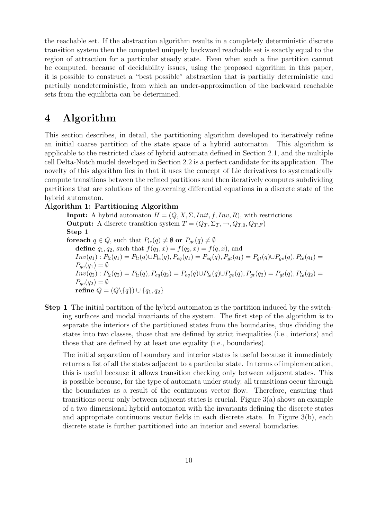the reachable set. If the abstraction algorithm results in a completely deterministic discrete transition system then the computed uniquely backward reachable set is exactly equal to the region of attraction for a particular steady state. Even when such a fine partition cannot be computed, because of decidability issues, using the proposed algorithm in this paper, it is possible to construct a "best possible" abstraction that is partially deterministic and partially nondeterministic, from which an under-approximation of the backward reachable sets from the equilibria can be determined.

# **4 Algorithm**

This section describes, in detail, the partitioning algorithm developed to iteratively refine an initial coarse partition of the state space of a hybrid automaton. This algorithm is applicable to the restricted class of hybrid automata defined in Section 2.1, and the multiple cell Delta-Notch model developed in Section 2.2 is a perfect candidate for its application. The novelty of this algorithm lies in that it uses the concept of Lie derivatives to systematically compute transitions between the refined partitions and then iteratively computes subdividing partitions that are solutions of the governing differential equations in a discrete state of the hybrid automaton.

### **Algorithm 1: Partitioning Algorithm**

**Input:** A hybrid automaton  $H = (Q, X, \Sigma, Init, f, Inv, R)$ , with restrictions **Output:** A discrete transition system  $T = (Q_T, \Sigma_T, \rightarrow, Q_{T,0}, Q_{T,F})$ **Step 1 foreach**  $q \in Q$ , such that  $P_{le}(q) \neq \emptyset$  or  $P_{ge}(q) \neq \emptyset$ **define**  $q_1, q_2$ , such that  $f(q_1, x) = f(q_2, x) = f(q, x)$ , and  $Inv(q_1): P_{lt}(q_1) = P_{lt}(q) \cup P_{le}(q), P_{eq}(q_1) = P_{eq}(q), P_{gt}(q_1) = P_{gt}(q) \cup P_{ge}(q), P_{le}(q_1) = P_{qe}(q_1) = \emptyset$  $P_{ge}(q_1) = \emptyset$ <br>*Inv(as)* : *Ps*  $Inv(q_2): P_{lt}(q_2) = P_{lt}(q), P_{eq}(q_2) = P_{eq}(q) \cup P_{le}(q) \cup P_{ge}(q), P_{gt}(q_2) = P_{gt}(q), P_{le}(q_2) = P_{gt}(q)$  $P_{qe}(q_2) = \emptyset$ **refine**  $Q = (Q \setminus \{q\}) \cup \{q_1, q_2\}$ 

**Step 1** The initial partition of the hybrid automaton is the partition induced by the switching surfaces and modal invariants of the system. The first step of the algorithm is to separate the interiors of the partitioned states from the boundaries, thus dividing the states into two classes, those that are defined by strict inequalities (i.e., interiors) and those that are defined by at least one equality (i.e., boundaries).

The initial separation of boundary and interior states is useful because it immediately returns a list of all the states adjacent to a particular state. In terms of implementation, this is useful because it allows transition checking only between adjacent states. This is possible because, for the type of automata under study, all transitions occur through the boundaries as a result of the continuous vector flow. Therefore, ensuring that transitions occur only between adjacent states is crucial. Figure  $3(a)$  shows an example of a two dimensional hybrid automaton with the invariants defining the discrete states and appropriate continuous vector fields in each discrete state. In Figure 3(b), each discrete state is further partitioned into an interior and several boundaries.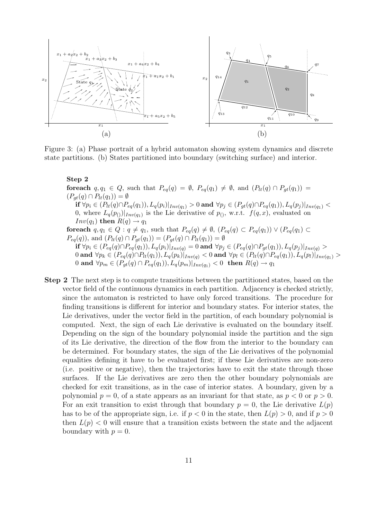

Figure 3: (a) Phase portrait of a hybrid automaton showing system dynamics and discrete state partitions. (b) States partitioned into boundary (switching surface) and interior.

#### **Step 2**

**foreach**  $q, q_1 \in Q$ , such that  $P_{eq}(q) = \emptyset$ ,  $P_{eq}(q_1) \neq \emptyset$ , and  $(P_{lt}(q) \cap P_{qt}(q_1)) =$  $(P_{at}(q) \cap P_{lt}(q_1)) = \emptyset$ **if**  $\forall p_i \in (P_{lt}(q) \cap P_{eq}(q_1)), L_q(p_i)|_{Inv(q_1)} > 0$  and  $\forall p_j \in (P_{gt}(q) \cap P_{eq}(q_1)), L_q(p_j)|_{Inv(q_1)} <$ 0, where  $L_q(p_0)|_{Inv(q_1)}$  is the Lie derivative of  $p_0$ , w.r.t.  $f(q, x)$ , evaluated on *Inv* $(q_1)$  **then**  $R(q) \rightarrow q_1$ **foreach**  $q, q_1 \in Q : q \neq q_1$ , such that  $P_{eq}(q) \neq \emptyset$ ,  $(P_{eq}(q) \subset P_{eq}(q_1)) \vee (P_{eq}(q_1) \subset P_{eq}(q_2))$  $P_{eq}(q)$ , and  $(P_{lt}(q) \cap P_{gt}(q_1)) = (P_{gt}(q) \cap P_{lt}(q_1)) = \emptyset$ **if**  $\forall p_i \in (P_{eq}(q) \cap P_{eq}(q_1)), L_q(p_i)|_{Inv(q)} = 0$  and  $\forall p_j \in (P_{eq}(q) \cap P_{gt}(q_1)), L_q(p_j)|_{Inv(q)} >$ 0 **and**  $\forall p_k \in (P_{eq}(q) \cap P_{lt}(q_1)), L_q(p_k)|_{Inv(q)} < 0$  **and**  $\forall p_l \in (P_{lt}(q) \cap P_{eq}(q_1)), L_q(p_l)|_{Inv(q_1)} >$ 0 **and**  $\forall p_m \in (P_{gt}(q) \cap P_{eq}(q_1)), L_q(p_m)|_{Inv(q_1)} < 0$  **then**  $R(q) \rightarrow q_1$ 

**Step 2** The next step is to compute transitions between the partitioned states, based on the vector field of the continuous dynamics in each partition. Adjacency is checked strictly, since the automaton is restricted to have only forced transitions. The procedure for finding transitions is different for interior and boundary states. For interior states, the Lie derivatives, under the vector field in the partition, of each boundary polynomial is computed. Next, the sign of each Lie derivative is evaluated on the boundary itself. Depending on the sign of the boundary polynomial inside the partition and the sign of its Lie derivative, the direction of the flow from the interior to the boundary can be determined. For boundary states, the sign of the Lie derivatives of the polynomial equalities defining it have to be evaluated first; if these Lie derivatives are non-zero (i.e. positive or negative), then the trajectories have to exit the state through those surfaces. If the Lie derivatives are zero then the other boundary polynomials are checked for exit transitions, as in the case of interior states. A boundary, given by a polynomial  $p = 0$ , of a state appears as an invariant for that state, as  $p < 0$  or  $p > 0$ . For an exit transition to exist through that boundary  $p = 0$ , the Lie derivative  $L(p)$ has to be of the appropriate sign, i.e. if  $p < 0$  in the state, then  $L(p) > 0$ , and if  $p > 0$ then  $L(p) < 0$  will ensure that a transition exists between the state and the adjacent boundary with  $p = 0$ .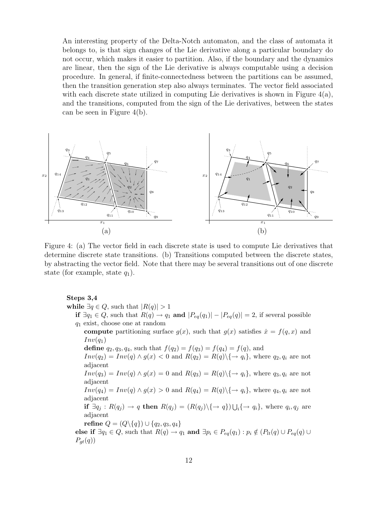An interesting property of the Delta-Notch automaton, and the class of automata it belongs to, is that sign changes of the Lie derivative along a particular boundary do not occur, which makes it easier to partition. Also, if the boundary and the dynamics are linear, then the sign of the Lie derivative is always computable using a decision procedure. In general, if finite-connectedness between the partitions can be assumed, then the transition generation step also always terminates. The vector field associated with each discrete state utilized in computing Lie derivatives is shown in Figure  $4(a)$ , and the transitions, computed from the sign of the Lie derivatives, between the states can be seen in Figure 4(b).



Figure 4: (a) The vector field in each discrete state is used to compute Lie derivatives that determine discrete state transitions. (b) Transitions computed between the discrete states, by abstracting the vector field. Note that there may be several transitions out of one discrete state (for example, state  $q_1$ ).

**Steps 3,4 while** ∃*q* ∈ *Q*, such that  $|R(q)| > 1$ **if** ∃ $q_1$  ∈  $Q$ , such that  $R(q)$  →  $q_1$  **and**  $|P_{eq}(q_1)| - |P_{eq}(q)| = 2$ , if several possible *<sup>q</sup>*<sup>1</sup> exist, choose one at random **compute** partitioning surface  $g(x)$ , such that  $g(x)$  satisfies  $\dot{x} = f(q, x)$  and  $Inv(q_1)$ **define**  $q_2, q_3, q_4$ , such that  $f(q_2) = f(q_3) = f(q_4) = f(q)$ , and  $I_{\text{grav}}(q_2) = I_{\text{grav}}(q_1) \wedge g(q_2) \leq 0$  and  $R(q_3) = R(q) \vee 1 \vee q_3 \vee 1$  who  $Inv(q_2) = Inv(q) \wedge g(x) < 0$  and  $R(q_2) = R(q) \setminus \{\rightarrow q_i\}$ , where  $q_2, q_i$  are not adjacent adjacent  $Inv(q_3) = Inv(q) \wedge g(x) = 0$  and  $R(q_3) = R(q) \setminus \{\rightarrow q_i\}$ , where  $q_3, q_i$  are not adjacent  $Inv(q_4) = Inv(q) \wedge g(x) > 0$  and  $R(q_4) = R(q) \setminus \{\rightarrow q_i\}$ , where  $q_4, q_i$  are not adjacent **if**  $\exists q_j : R(q_j) \rightarrow q$  **then**  $R(q_j) = (R(q_j) \setminus \{\rightarrow q\}) \bigcup_i {\rightarrow q_i}$ , where  $q_i, q_j$  are adjacent adjacent **refine**  $Q = (Q \setminus \{q\}) \cup \{q_2, q_3, q_4\}$ **else if**  $\exists q_1 \in Q$ , such that  $R(q) \to q_1$  **and**  $\exists p_i \in P_{eq}(q_1) : p_i \notin (P_{lt}(q) \cup P_{eq}(q) \cup P_{eq}(q))$  $P_{qt}(q)$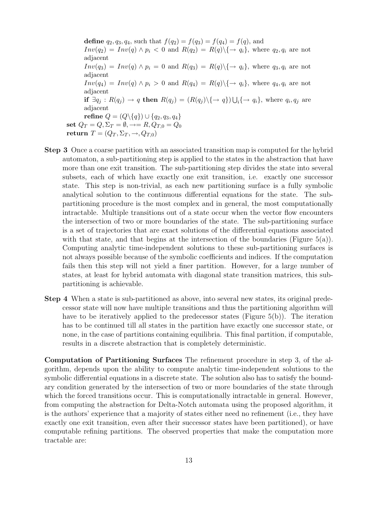**define**  $q_2, q_3, q_4$ , such that  $f(q_2) = f(q_3) = f(q_4) = f(q)$ , and  $Inv(q_2) = Inv(q) \wedge p_i < 0$  and  $R(q_2) = R(q) \setminus \{\rightarrow q_i\}$ , where  $q_2, q_i$  are not adjacent  $Inv(q_3) = Inv(q) \wedge p_i = 0$  and  $R(q_3) = R(q) \setminus \{\rightarrow q_i\}$ , where  $q_3, q_i$  are not adjacent  $Inv(q_4) = Inv(q) \wedge p_i > 0$  and  $R(q_4) = R(q) \backslash \{\rightarrow q_i\}$ , where  $q_4, q_i$  are not adjacent **if**  $\exists q_j : R(q_j) \rightarrow q$  **then**  $R(q_j) = (R(q_j) \setminus \{\rightarrow q\}) \bigcup_i {\rightarrow q_i}$ , where  $q_i, q_j$  are adjacent adjacent **refine**  $Q = (Q \setminus \{q\}) \cup \{q_2, q_3, q_4\}$ set  $Q_T = Q$ ,  $\Sigma_T = \emptyset$ ,  $\rightarrow = R$ ,  $Q_{T,0} = Q_0$ **return**  $T = (Q_T, \Sigma_T, \rightarrow, Q_{T,0})$ 

- **Step 3** Once a coarse partition with an associated transition map is computed for the hybrid automaton, a sub-partitioning step is applied to the states in the abstraction that have more than one exit transition. The sub-partitioning step divides the state into several subsets, each of which have exactly one exit transition, i.e. exactly one successor state. This step is non-trivial, as each new partitioning surface is a fully symbolic analytical solution to the continuous differential equations for the state. The subpartitioning procedure is the most complex and in general, the most computationally intractable. Multiple transitions out of a state occur when the vector flow encounters the intersection of two or more boundaries of the state. The sub-partitioning surface is a set of trajectories that are exact solutions of the differential equations associated with that state, and that begins at the intersection of the boundaries (Figure  $5(a)$ ). Computing analytic time-independent solutions to these sub-partitioning surfaces is not always possible because of the symbolic coefficients and indices. If the computation fails then this step will not yield a finer partition. However, for a large number of states, at least for hybrid automata with diagonal state transition matrices, this subpartitioning is achievable.
- **Step 4** When a state is sub-partitioned as above, into several new states, its original predecessor state will now have multiple transitions and thus the partitioning algorithm will have to be iteratively applied to the predecessor states (Figure 5(b)). The iteration has to be continued till all states in the partition have exactly one successor state, or none, in the case of partitions containing equilibria. This final partition, if computable, results in a discrete abstraction that is completely deterministic.

**Computation of Partitioning Surfaces** The refinement procedure in step 3, of the algorithm, depends upon the ability to compute analytic time-independent solutions to the symbolic differential equations in a discrete state. The solution also has to satisfy the boundary condition generated by the intersection of two or more boundaries of the state through which the forced transitions occur. This is computationally intractable in general. However, from computing the abstraction for Delta-Notch automata using the proposed algorithm, it is the authors' experience that a majority of states either need no refinement (i.e., they have exactly one exit transition, even after their successor states have been partitioned), or have computable refining partitions. The observed properties that make the computation more tractable are: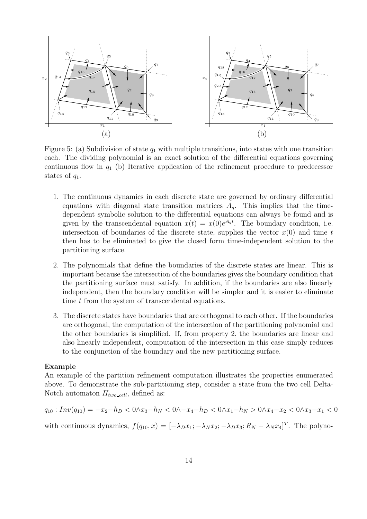

Figure 5: (a) Subdivision of state  $q_1$  with multiple transitions, into states with one transition each. The dividing polynomial is an exact solution of the differential equations governing continuous flow in  $q_1$  (b) Iterative application of the refinement procedure to predecessor states of  $q_1$ .

- 1. The continuous dynamics in each discrete state are governed by ordinary differential equations with diagonal state transition matrices  $A<sub>q</sub>$ . This implies that the timedependent symbolic solution to the differential equations can always be found and is given by the transcendental equation  $x(t) = x(0)e^{A_q t}$ . The boundary condition, i.e.<br>intersection of boundaries of the discrete state, supplies the vector  $x(0)$  and time t intersection of boundaries of the discrete state, supplies the vector  $x(0)$  and time t then has to be eliminated to give the closed form time-independent solution to the partitioning surface.
- 2. The polynomials that define the boundaries of the discrete states are linear. This is important because the intersection of the boundaries gives the boundary condition that the partitioning surface must satisfy. In addition, if the boundaries are also linearly independent, then the boundary condition will be simpler and it is easier to eliminate time t from the system of transcendental equations.
- 3. The discrete states have boundaries that are orthogonal to each other. If the boundaries are orthogonal, the computation of the intersection of the partitioning polynomial and the other boundaries is simplified. If, from property 2, the boundaries are linear and also linearly independent, computation of the intersection in this case simply reduces to the conjunction of the boundary and the new partitioning surface.

#### **Example**

An example of the partition refinement computation illustrates the properties enumerated above. To demonstrate the sub-partitioning step, consider a state from the two cell Delta-Notch automaton  $H_{two\text{-}cell}$ , defined as:

 $q_{10} : Inv(q_{10}) = -x_2-h_D < 0 \land x_3-h_N < 0 \land -x_4-h_D < 0 \land x_1-h_N > 0 \land x_4-x_2 < 0 \land x_3-x_1 < 0$ with continuous dynamics,  $f(q_{10}, x) = [-\lambda_D x_1; -\lambda_N x_2; -\lambda_D x_3; R_N - \lambda_N x_4]^T$ . The polyno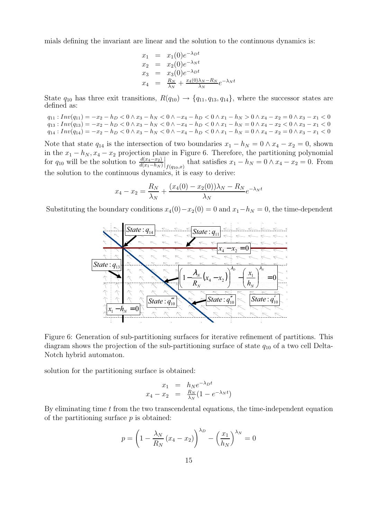mials defining the invariant are linear and the solution to the continuous dynamics is:

$$
x_1 = x_1(0)e^{-\lambda_D t}
$$
  
\n
$$
x_2 = x_2(0)e^{-\lambda_N t}
$$
  
\n
$$
x_3 = x_3(0)e^{-\lambda_D t}
$$
  
\n
$$
x_4 = \frac{R_N}{\lambda_N} + \frac{x_4(0)\lambda_N - R_N}{\lambda_N}e^{-\lambda_N t}
$$

State  $q_{10}$  has three exit transitions,  $R(q_{10}) \rightarrow \{q_{11}, q_{13}, q_{14}\}$ , where the successor states are defined as:

 $q_{11}: Inv(q_{11}) = -x_2 - h_D < 0 \wedge x_3 - h_N < 0 \wedge -x_4 - h_D < 0 \wedge x_1 - h_N > 0 \wedge x_4 - x_2 = 0 \wedge x_3 - x_1 < 0$  $q_{13}: Inv(q_{13}) = -x_2 - h_D < 0 \wedge x_3 - h_N < 0 \wedge -x_4 - h_D < 0 \wedge x_1 - h_N = 0 \wedge x_4 - x_2 < 0 \wedge x_3 - x_1 < 0$  $q_{14}: Inv(q_{14}) = -x_2 - h_D < 0 \wedge x_3 - h_N < 0 \wedge -x_4 - h_D < 0 \wedge x_1 - h_N = 0 \wedge x_4 - x_2 = 0 \wedge x_3 - x_1 < 0$ 

Note that state  $q_{14}$  is the intersection of two boundaries  $x_1 - h_N = 0 \wedge x_4 - x_2 = 0$ , shown in the  $x_1 - h_N, x_4 - x_2$  projection plane in Figure 6. Therefore, the partitioning polynomial for  $q_{10}$  will be the solution to  $\frac{d(x_4-x_2)}{d(x_1-h_N)}$  $\Big|_{f(q_{10},x)}$  that satisfies  $x_1 - h_N = 0 \wedge x_4 - x_2 = 0$ . From the solution to the continuous dynamics, it is easy to derive:

$$
x_4 - x_2 = \frac{R_N}{\lambda_N} + \frac{(x_4(0) - x_2(0))\lambda_N - R_N}{\lambda_N}e^{-\lambda_N t}
$$

Substituting the boundary conditions  $x_4(0)-x_2(0) = 0$  and  $x_1-h_N = 0$ , the time-dependent



Figure 6: Generation of sub-partitioning surfaces for iterative refinement of partitions. This diagram shows the projection of the sub-partitioning surface of state  $q_{10}$  of a two cell Delta-Notch hybrid automaton.

solution for the partitioning surface is obtained:

$$
x_1 = h_N e^{-\lambda_D t}
$$
  

$$
x_4 - x_2 = \frac{R_N}{\lambda_N} (1 - e^{-\lambda_N t})
$$

By eliminating time  $t$  from the two transcendental equations, the time-independent equation of the partitioning surface  $p$  is obtained:

$$
p = \left(1 - \frac{\lambda_N}{R_N} (x_4 - x_2)\right)^{\lambda_D} - \left(\frac{x_1}{h_N}\right)^{\lambda_N} = 0
$$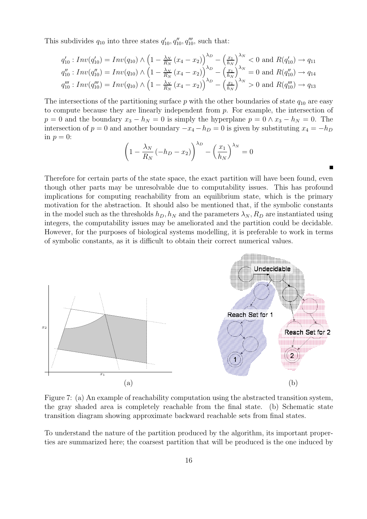This subdivides  $q_{10}$  into three states  $q'_{10}, q''_{10}, q'''_{10}$ , such that:

$$
q'_{10}: Inv(q'_{10}) = Inv(q_{10}) \wedge \left(1 - \frac{\lambda_N}{R_N} (x_4 - x_2)\right)^{\lambda_D} - \left(\frac{x_1}{h_N}\right)^{\lambda_N} < 0 \text{ and } R(q'_{10}) \to q_{11}
$$
\n
$$
q''_{10}: Inv(q''_{10}) = Inv(q_{10}) \wedge \left(1 - \frac{\lambda_N}{R_N} (x_4 - x_2)\right)^{\lambda_D} - \left(\frac{x_1}{h_N}\right)^{\lambda_N} = 0 \text{ and } R(q''_{10}) \to q_{14}
$$
\n
$$
q'''_{10}: Inv(q''_{10}) = Inv(q_{10}) \wedge \left(1 - \frac{\lambda_N}{R_N} (x_4 - x_2)\right)^{\lambda_D} - \left(\frac{x_1}{h_N}\right)^{\lambda_N} > 0 \text{ and } R(q''_{10}) \to q_{13}
$$

The intersections of the partitioning surface p with the other boundaries of state  $q_{10}$  are easy to compute because they are linearly independent from  $p$ . For example, the intersection of  $p = 0$  and the boundary  $x_3 - h_N = 0$  is simply the hyperplane  $p = 0 \wedge x_3 - h_N = 0$ . The intersection of  $p = 0$  and another boundary  $-x_4 - h_D = 0$  is given by substituting  $x_4 = -h_D$ in  $p = 0$ :

$$
\left(1 - \frac{\lambda_N}{R_N}(-h_D - x_2)\right)^{\lambda_D} - \left(\frac{x_1}{h_N}\right)^{\lambda_N} = 0
$$

Therefore for certain parts of the state space, the exact partition will have been found, even though other parts may be unresolvable due to computability issues. This has profound implications for computing reachability from an equilibrium state, which is the primary motivation for the abstraction. It should also be mentioned that, if the symbolic constants in the model such as the thresholds  $h_D, h_N$  and the parameters  $\lambda_N, R_D$  are instantiated using integers, the computability issues may be ameliorated and the partition could be decidable. However, for the purposes of biological systems modelling, it is preferable to work in terms of symbolic constants, as it is difficult to obtain their correct numerical values.



Figure 7: (a) An example of reachability computation using the abstracted transition system, the gray shaded area is completely reachable from the final state. (b) Schematic state transition diagram showing approximate backward reachable sets from final states.

To understand the nature of the partition produced by the algorithm, its important properties are summarized here; the coarsest partition that will be produced is the one induced by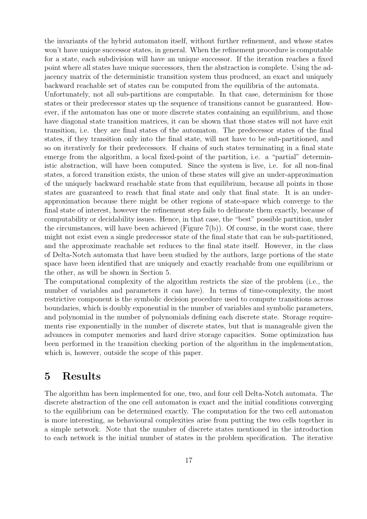the invariants of the hybrid automaton itself, without further refinement, and whose states won't have unique successor states, in general. When the refinement procedure is computable for a state, each subdivision will have an unique successor. If the iteration reaches a fixed point where all states have unique successors, then the abstraction is complete. Using the adjacency matrix of the deterministic transition system thus produced, an exact and uniquely backward reachable set of states can be computed from the equilibria of the automata.

Unfortunately, not all sub-partitions are computable. In that case, determinism for those states or their predecessor states up the sequence of transitions cannot be guaranteed. However, if the automaton has one or more discrete states containing an equilibrium, and those have diagonal state transition matrices, it can be shown that those states will not have exit transition, i.e. they are final states of the automaton. The predecessor states of the final states, if they transition only into the final state, will not have to be sub-partitioned, and so on iteratively for their predecessors. If chains of such states terminating in a final state emerge from the algorithm, a local fixed-point of the partition, i.e. a "partial" deterministic abstraction, will have been computed. Since the system is live, i.e. for all non-final states, a forced transition exists, the union of these states will give an under-approximation of the uniquely backward reachable state from that equilibrium, because all points in those states are guaranteed to reach that final state and only that final state. It is an underapproximation because there might be other regions of state-space which converge to the final state of interest, however the refinement step fails to delineate them exactly, because of computability or decidability issues. Hence, in that case, the "best" possible partition, under the circumstances, will have been achieved (Figure 7(b)). Of course, in the worst case, there might not exist even a single predecessor state of the final state that can be sub-partitioned, and the approximate reachable set reduces to the final state itself. However, in the class of Delta-Notch automata that have been studied by the authors, large portions of the state space have been identified that are uniquely and exactly reachable from one equilibrium or the other, as will be shown in Section 5.

The computational complexity of the algorithm restricts the size of the problem (i.e., the number of variables and parameters it can have). In terms of time-complexity, the most restrictive component is the symbolic decision procedure used to compute transitions across boundaries, which is doubly exponential in the number of variables and symbolic parameters, and polynomial in the number of polynomials defining each discrete state. Storage requirements rise exponentially in the number of discrete states, but that is manageable given the advances in computer memories and hard drive storage capacities. Some optimization has been performed in the transition checking portion of the algorithm in the implementation, which is, however, outside the scope of this paper.

# **5 Results**

The algorithm has been implemented for one, two, and four cell Delta-Notch automata. The discrete abstraction of the one cell automaton is exact and the initial conditions converging to the equilibrium can be determined exactly. The computation for the two cell automaton is more interesting, as behavioural complexities arise from putting the two cells together in a simple network. Note that the number of discrete states mentioned in the introduction to each network is the initial number of states in the problem specification. The iterative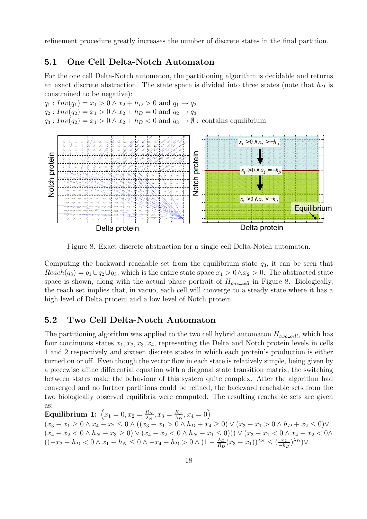refinement procedure greatly increases the number of discrete states in the final partition.

### **5.1 One Cell Delta-Notch Automaton**

For the one cell Delta-Notch automaton, the partitioning algorithm is decidable and returns an exact discrete abstraction. The state space is divided into three states (note that  $h_D$  is constrained to be negative):

 $q_1: Inv(q_1) = x_1 > 0 \land x_2 + h_D > 0$  and  $q_1 \rightarrow q_2$  $q_2: Inv(q_2) = x_1 > 0 \wedge x_2 + h_D = 0$  and  $q_2 \rightarrow q_3$  $q_3: Inv(q_2) = x_1 > 0 \wedge x_2 + h_D < 0$  and  $q_3 \rightarrow \emptyset$ : contains equilibrium



Figure 8: Exact discrete abstraction for a single cell Delta-Notch automaton.

Computing the backward reachable set from the equilibrium state  $q_3$ , it can be seen that  $Reach(q_3) = q_1 \cup q_2 \cup q_3$ , which is the entire state space  $x_1 > 0 \land x_2 > 0$ . The abstracted state space is shown, along with the actual phase portrait of  $H_{one\_cell}$  in Figure 8. Biologically, the reach set implies that, in vacuo, each cell will converge to a steady state where it has a high level of Delta protein and a low level of Notch protein.

### **5.2 Two Cell Delta-Notch Automaton**

The partitioning algorithm was applied to the two cell hybrid automaton  $H_{two\_cell}$ , which has four continuous states  $x_1, x_2, x_3, x_4$ , representing the Delta and Notch protein levels in cells 1 and 2 respectively and sixteen discrete states in which each protein's production is either turned on or off. Even though the vector flow in each state is relatively simple, being given by a piecewise affine differential equation with a diagonal state transition matrix, the switching between states make the behaviour of this system quite complex. After the algorithm had converged and no further partitions could be refined, the backward reachable sets from the two biologically observed equilibria were computed. The resulting reachable sets are given as:

**Equilibrium 1:**  $\left(x_1 = 0, x_2 = \frac{R_N}{\lambda_N}, x_3 = \frac{R_D}{\lambda_D}, x_4 = 0\right)$  $(x_3 - x_1 \geq 0 \land x_4 - x_2 \leq 0 \land ((x_3 - x_1 > 0 \land h_D + x_4 \geq 0) \lor (x_3 - x_1 > 0 \land h_D + x_2 \leq 0) \lor (x_4 - x_2 > 0 \land h_D + x_3 \leq 0 \land (x_5 - x_4 > 0 \land h_D + x_4 \leq 0)) \lor (x_3 - x_4 > 0 \land x_4 - x_5 \leq 0 \land (x_4 - x_5 \geq 0 \land h_D + x_6 \leq 0))$  $(x_4 - x_2 < 0 \wedge h_N - x_3 \ge 0) \vee (x_4 - x_2 < 0 \wedge h_N - x_1 \le 0))$ ) ∨  $(x_3 - x_1 < 0 \wedge x_4 - x_2 < 0 \wedge x_3$  $((-x_2 - h_D < 0 \land x_1 - h_N \le 0 \land -x_4 - h_D > 0 \land (1 - \frac{\lambda_D}{R_D}(x_3 - x_1))^{\lambda_N} \le (\frac{x_2}{-h_D})^{\lambda_D}) \lor$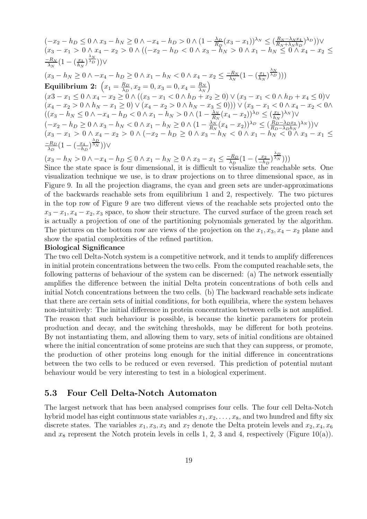$$
(-x_2 - h_D \le 0 \land x_3 - h_N \ge 0 \land -x_4 - h_D > 0 \land (1 - \frac{\lambda_D}{R_D}(x_3 - x_1))^{\lambda_N} \le (\frac{R_N - \lambda_N x_4}{R_N + \lambda_N h_D})^{\lambda_D}) ) \lor (x_3 - x_1 > 0 \land x_4 - x_2 > 0 \land ((-x_2 - h_D < 0 \land x_3 - h_N > 0 \land x_1 - h_N \le 0 \land x_4 - x_2 \le \frac{-R_N}{\lambda_N} (1 - (\frac{x_3}{h_N})^{\frac{\lambda_N}{\lambda_D}})) ) \lor (x_3 - h_N \ge 0 \land -x_4 - h_D \ge 0 \land x_1 - h_N < 0 \land x_4 - x_2 \le \frac{-R_N}{\lambda_N} (1 - (\frac{x_1}{h_N})^{\frac{\lambda_N}{\lambda_D}})) )
$$
  
\nEquilibrium 2: 
$$
(x_1 = \frac{R_D}{\lambda_D}, x_2 = 0, x_3 = 0, x_4 = \frac{R_N}{\lambda_N})
$$

$$
(x_3 - x_1 \le 0 \land x_4 - x_2 \ge 0 \land ((x_3 - x_1 < 0 \land h_D + x_2 \ge 0) \lor (x_3 - x_1 < 0 \land h_D + x_4 \le 0) \lor (x_4 - x_2 > 0 \land h_N - x_1 \ge 0) \lor (x_4 - x_2 > 0 \land h_N - x_3 \le 0)) ) \lor (x_3 - x_1 < 0 \land x_4 - x_2 < 0 \land (x_3 - h_N \le 0 \land -x_4 - h_D < 0 \land x_1 - h_N > 0 \land (1 - \frac{\lambda_N}{R_N}(x_4 - x_2))^{\lambda_D} \le (\frac{x_1}{h_N})^{\lambda_N} ) \lor (-x_2 - h_D \ge 0 \land x_3 - h_N < 0 \land x_1 - h_N \ge 0 \land (1 - \frac{\lambda_N}{R_N}(x_4 - x_2))^{\lambda_D} \le (\frac{R_D - \lambda_D x_3}{R_D - \lambda_D h_N})^{\lambda_N} ) ) \lor (x_3 - x_1 > 0 \land x_4 - x_2 > 0 \land (-x_2 - h_D \ge 0 \land x_3 - h_N < 0 \land x_1 - h_N < 0 \land x_1 - h_N < 0 \land x_3 - x_1 \le \frac
$$

 $(x_3 - h_N > 0 \land -x_4 - h_D \leq 0 \land x_1 - h_N \geq 0 \land x_3 - x_1 \leq \frac{-R_D}{\lambda_D} (1 - (\frac{x_2}{-h_D})^{\frac{\lambda_D}{\lambda_N}})))$ <br>Since the state space is four dimensional it is difficult to visualize the reacha

Since the state space is four dimensional, it is difficult to visualize the reachable sets. One visualization technique we use, is to draw projections on to three dimensional space, as in Figure 9. In all the projection diagrams, the cyan and green sets are under-approximations of the backwards reachable sets from equilibrium 1 and 2, respectively. The two pictures in the top row of Figure 9 are two different views of the reachable sets projected onto the  $x_3 - x_1, x_4 - x_2, x_3$  space, to show their structure. The curved surface of the green reach set is actually a projection of one of the partitioning polynomials generated by the algorithm. The pictures on the bottom row are views of the projection on the  $x_1, x_3, x_4 - x_2$  plane and show the spatial complexities of the refined partition.

#### **Biological Significance**

The two cell Delta-Notch system is a competitive network, and it tends to amplify differences in initial protein concentrations between the two cells. From the computed reachable sets, the following patterns of behaviour of the system can be discerned: (a) The network essentially amplifies the difference between the initial Delta protein concentrations of both cells and initial Notch concentrations between the two cells. (b) The backward reachable sets indicate that there are certain sets of initial conditions, for both equilibria, where the system behaves non-intuitively: The initial difference in protein concentration between cells is not amplified. The reason that such behaviour is possible, is because the kinetic parameters for protein production and decay, and the switching thresholds, may be different for both proteins. By not instantiating them, and allowing them to vary, sets of initial conditions are obtained where the initial concentration of some proteins are such that they can suppress, or promote, the production of other proteins long enough for the initial difference in concentrations between the two cells to be reduced or even reversed. This prediction of potential mutant behaviour would be very interesting to test in a biological experiment.

### **5.3 Four Cell Delta-Notch Automaton**

The largest network that has been analysed comprises four cells. The four cell Delta-Notch hybrid model has eight continuous state variables  $x_1, x_2, \ldots, x_8$ , and two hundred and fifty six discrete states. The variables  $x_1, x_3, x_5$  and  $x_7$  denote the Delta protein levels and  $x_2, x_4, x_6$ and  $x_8$  represent the Notch protein levels in cells 1, 2, 3 and 4, respectively (Figure 10(a)).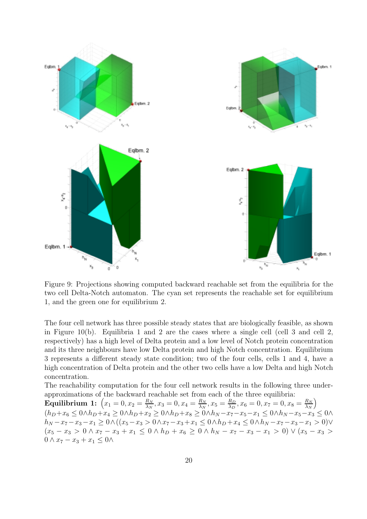

Figure 9: Projections showing computed backward reachable set from the equilibria for the two cell Delta-Notch automaton. The cyan set represents the reachable set for equilibrium 1, and the green one for equilibrium 2.

The four cell network has three possible steady states that are biologically feasible, as shown in Figure 10(b). Equilibria 1 and 2 are the cases where a single cell (cell 3 and cell 2, respectively) has a high level of Delta protein and a low level of Notch protein concentration and its three neighbours have low Delta protein and high Notch concentration. Equilibrium 3 represents a different steady state condition; two of the four cells, cells 1 and 4, have a high concentration of Delta protein and the other two cells have a low Delta and high Notch concentration.

The reachability computation for the four cell network results in the following three underapproximations of the backward reachable set from each of the three equilibria:

**Equilibrium 1:**  $\left(x_1 = 0, x_2 = \frac{R_N}{\lambda_N}, x_3 = 0, x_4 = \frac{R_N}{\lambda_N}, x_5 = \frac{R_D}{\lambda_D}, x_6 = 0, x_7 = 0, x_8 = \frac{R_N}{\lambda_N} \right)$  $\setminus$  $(h_D + x_6 \le 0 \land h_D + x_4 \ge 0 \land h_D + x_2 \ge 0 \land h_D + x_8 \ge 0 \land h_N - x_7 - x_5 - x_1 \le 0 \land h_N - x_5 - x_3 \le 0 \land h_N - x_7 - x_8 - x_4 \ge 0 \land (x_7 - x_8 \ge 0 \land x_7 - x_7 + x_6 \le 0 \land h_S + x_7 \le 0 \land h_N - x_7 - x_8 - x_7 \ge 0 \lor (x_7 - x_8 \ge 0 \land x_7 - x_7 + x_8 \le 0 \land h_S + x_7 \le 0 \land h_N - x_7 - x_8$  $h_N - x_7 - x_3 - x_1 \ge 0 \land ((x_5 - x_3 > 0 \land x_7 - x_3 + x_1 \le 0 \land h_D + x_4 \le 0 \land h_N - x_7 - x_3 - x_1 > 0) \lor$  $(x_5 - x_3 > 0 \wedge x_7 - x_3 + x_1 \leq 0 \wedge h_D + x_6 \geq 0 \wedge h_N - x_7 - x_3 - x_1 > 0) \vee (x_5 - x_3 > 0$  $0 \wedge x_7 - x_3 + x_1 \leq 0 \wedge$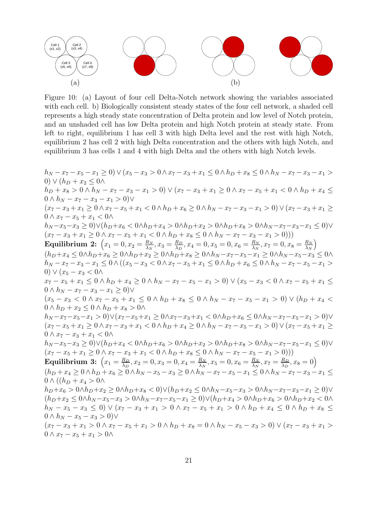

Figure 10: (a) Layout of four cell Delta-Notch network showing the variables associated with each cell. b) Biologically consistent steady states of the four cell network, a shaded cell represents a high steady state concentration of Delta protein and low level of Notch protein, and an unshaded cell has low Delta protein and high Notch protein at steady state. From left to right, equilibrium 1 has cell 3 with high Delta level and the rest with high Notch, equilibrium 2 has cell 2 with high Delta concentration and the others with high Notch, and equilibrium 3 has cells 1 and 4 with high Delta and the others with high Notch levels.

 $h_N - x_7 - x_5 - x_1 \geq 0$ )  $\vee (x_5 - x_3 \geq 0 \wedge x_7 - x_3 + x_1 \leq 0 \wedge h_D + x_8 \leq 0 \wedge h_N - x_7 - x_3 - x_1 \geq 0$  $0 \vee (h_D + x_2 \leq 0 \wedge$  $h_D + x_8 > 0 \wedge h_N - x_7 - x_3 - x_1 > 0$ ) ∨  $(x_7 - x_3 + x_1 \ge 0 \wedge x_7 - x_5 + x_1 < 0 \wedge h_D + x_4 \le 0 \wedge h_N - x_7 - x_3 - x_1 > 0$ )∨  $0 \wedge h_N - x_7 - x_3 - x_1 > 0$ )∨<br> $(x_7 - x_3 + x_4 > 0 \wedge x_7 - x_5 + x_6)$  $(x_7 - x_3 + x_1 \geq 0 \land x_7 - x_5 + x_1 < 0 \land h_D + x_6 \geq 0 \land h_N - x_7 - x_3 - x_1 > 0) \lor (x_7 - x_3 + x_1 \geq 0 \land x_7 - x_5 + x_1 < 0 \land x_7 < x_8$  $0 \wedge x_7 - x_5 + x_1 < 0 \wedge$  $h_N - x_5 - x_3 \geq 0$ )∨ $(h_D + x_6 < 0 \wedge h_D + x_4 > 0 \wedge h_D + x_2 > 0 \wedge h_D + x_8 > 0 \wedge h_N - x_7 - x_3 - x_1 < 0$ )∨  $(x_7 - x_3 + x_1 \geq 0 \land x_7 - x_5 + x_1 < 0 \land h_D + x_8 \leq 0 \land h_N - x_7 - x_3 - x_1 > 0))$ **Equilibrium 2:**  $\left(x_1 = 0, x_2 = \frac{R_N}{\lambda_N}, x_3 = \frac{R_D}{\lambda_D}, x_4 = 0, x_5 = 0, x_6 = \frac{R_N}{\lambda_N}, x_7 = 0, x_8 = \frac{R_N}{\lambda_N} \right)$  $\setminus$  $(h_D + x_4 \leq 0 \wedge h_D + x_6 \geq 0 \wedge h_D + x_2 \geq 0 \wedge h_D + x_8 \geq 0 \wedge h_N - x_7 - x_5 - x_1 \geq 0 \wedge h_N - x_5 - x_3 \leq 0 \wedge h_N$  $h_N - x_7 - x_3 - x_1 \leq 0 \wedge ((x_5 - x_3 < 0 \wedge x_7 - x_5 + x_1 \leq 0 \wedge h_D + x_6 \leq 0 \wedge h_N - x_7 - x_5 - x_1 >$ 0)  $\vee$   $(x_5 - x_3 < 0 \wedge$  $x_7 - x_5 + x_1 \leq 0 \wedge h_D + x_4 \geq 0 \wedge h_N - x_7 - x_5 - x_1 > 0$ )  $\vee (x_5 - x_3 < 0 \wedge x_7 - x_5 + x_1 <$  $0 \wedge h_N - x_7 - x_3 - x_1 \geq 0$ )  $(x_5 - x_3 < 0 \wedge x_7 - x_5 + x_1 \leq 0 \wedge h_D + x_8 \leq 0 \wedge h_N - x_7 - x_5 - x_1 > 0) \vee (h_D + x_4 <$  $0 \wedge h_D + x_2 \leq 0 \wedge h_D + x_8 > 0$  $h_N - x_7 - x_5 - x_1 > 0$ ) $\vee (x_7 - x_5 + x_1 \geq 0 \land x_7 - x_3 + x_1 < 0 \land h_D + x_6 \leq 0 \land h_N - x_7 - x_5 - x_1 > 0$ ) $\vee$  $(x_7 - x_5 + x_1 \ge 0 \land x_7 - x_3 + x_1 < 0 \land h_D + x_4 \ge 0 \land h_N - x_7 - x_5 - x_1 > 0) \lor (x_7 - x_5 + x_1 \ge 0)$  $0 \wedge x_7 - x_3 + x_1 < 0 \wedge$  $h_N - x_5 - x_3 \geq 0$ )∨ $(h_D + x_4 < 0 \wedge h_D + x_6 > 0 \wedge h_D + x_2 > 0 \wedge h_D + x_8 > 0 \wedge h_N - x_7 - x_5 - x_1 \leq 0$ )∨  $(x_7 - x_5 + x_1 \ge 0 \land x_7 - x_3 + x_1 < 0 \land h_D + x_8 \le 0 \land h_N - x_7 - x_5 - x_1 > 0)))$ **Equilibrium 3:**  $\left(x_1 = \frac{R_D}{\lambda_D}, x_2 = 0, x_3 = 0, x_4 = \frac{R_N}{\lambda_N}, x_5 = 0, x_6 = \frac{R_N}{\lambda_N}, x_7 = \frac{R_D}{\lambda_D}, x_8 = 0\right)$  $(h_D + x_4 \geq 0 \land h_D + x_6 \geq 0 \land h_N - x_5 - x_3 \geq 0 \land h_N - x_7 - x_5 - x_1 \leq 0 \land h_N - x_7 - x_3 - x_1 \leq 0 \land (h_D + x_4 \geq 0 \land h_N - x_7 \geq 0 \land h_N - x_7 \geq 0 \land (h_D + x_5 \geq 0 \land h_N - x_7 \geq 0 \land h_N - x_7 \geq 0 \land h_N - x_7 \geq 0 \land (h_D + x_5 \geq 0 \land h_N - x_7 \geq 0 \land h_N - x_7 \geq 0 \land h_N$  $0 \wedge ((h_D + x_4 > 0 \wedge$  $h_D+x_6 > 0 \wedge h_D+x_2 \geq 0 \wedge h_D+x_8 < 0 \vee (h_D+x_2 \leq 0 \wedge h_N-x_5-x_3 > 0 \wedge h_N-x_7-x_3-x_1 > 0 \vee (h_D+x_2 \leq 0 \wedge h_N-x_5-x_4 > 0$  $(h_D+x_2 \leq 0 \wedge h_N-x_5-x_3 > 0 \wedge h_N-x_7-x_5-x_1 \geq 0) \vee (h_D+x_4 > 0 \wedge h_D+x_6 > 0 \wedge h_D+x_2 < 0 \wedge h_D+x_4 > 0$  $h_N - x_5 - x_3 \le 0$ ) ∨  $(x_7 - x_3 + x_1 > 0 \wedge x_7 - x_5 + x_1 > 0 \wedge h_D + x_4 \le 0 \wedge h_D + x_8 \le$  $0 \wedge h_N - x_5 - x_3 > 0$ )  $(x_7 - x_3 + x_1 > 0 \wedge x_7 - x_5 + x_1 > 0 \wedge h_D + x_8 = 0 \wedge h_N - x_5 - x_3 > 0) \vee (x_7 - x_3 + x_1 > 0$  $0 \wedge x_7 - x_5 + x_1 > 0 \wedge$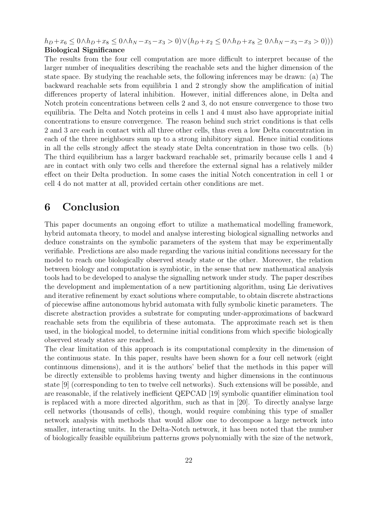$h_D + x_6 \le 0 \land h_D + x_8 \le 0 \land h_N - x_5 - x_3 > 0) \lor (h_D + x_2 \le 0 \land h_D + x_8 \ge 0 \land h_N - x_5 - x_3 > 0))$ **Biological Significance**

The results from the four cell computation are more difficult to interpret because of the larger number of inequalities describing the reachable sets and the higher dimension of the state space. By studying the reachable sets, the following inferences may be drawn: (a) The backward reachable sets from equilibria 1 and 2 strongly show the amplification of initial differences property of lateral inhibition. However, initial differences alone, in Delta and Notch protein concentrations between cells 2 and 3, do not ensure convergence to those two equilibria. The Delta and Notch proteins in cells 1 and 4 must also have appropriate initial concentrations to ensure convergence. The reason behind such strict conditions is that cells 2 and 3 are each in contact with all three other cells, thus even a low Delta concentration in each of the three neighbours sum up to a strong inhibitory signal. Hence initial conditions in all the cells strongly affect the steady state Delta concentration in those two cells. (b) The third equilibrium has a larger backward reachable set, primarily because cells 1 and 4 are in contact with only two cells and therefore the external signal has a relatively milder effect on their Delta production. In some cases the initial Notch concentration in cell 1 or cell 4 do not matter at all, provided certain other conditions are met.

### **6 Conclusion**

This paper documents an ongoing effort to utilize a mathematical modelling framework, hybrid automata theory, to model and analyse interesting biological signalling networks and deduce constraints on the symbolic parameters of the system that may be experimentally verifiable. Predictions are also made regarding the various initial conditions necessary for the model to reach one biologically observed steady state or the other. Moreover, the relation between biology and computation is symbiotic, in the sense that new mathematical analysis tools had to be developed to analyse the signalling network under study. The paper describes the development and implementation of a new partitioning algorithm, using Lie derivatives and iterative refinement by exact solutions where computable, to obtain discrete abstractions of piecewise affine autonomous hybrid automata with fully symbolic kinetic parameters. The discrete abstraction provides a substrate for computing under-approximations of backward reachable sets from the equilibria of these automata. The approximate reach set is then used, in the biological model, to determine initial conditions from which specific biologically observed steady states are reached.

The clear limitation of this approach is its computational complexity in the dimension of the continuous state. In this paper, results have been shown for a four cell network (eight continuous dimensions), and it is the authors' belief that the methods in this paper will be directly extensible to problems having twenty and higher dimensions in the continuous state [9] (corresponding to ten to twelve cell networks). Such extensions will be possible, and are reasonable, if the relatively inefficient QEPCAD [19] symbolic quantifier elimination tool is replaced with a more directed algorithm, such as that in [20]. To directly analyse large cell networks (thousands of cells), though, would require combining this type of smaller network analysis with methods that would allow one to decompose a large network into smaller, interacting units. In the Delta-Notch network, it has been noted that the number of biologically feasible equilibrium patterns grows polynomially with the size of the network,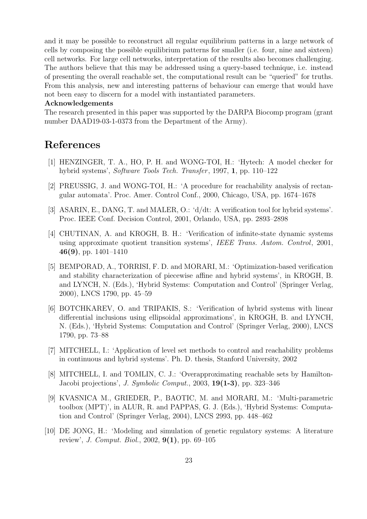and it may be possible to reconstruct all regular equilibrium patterns in a large network of cells by composing the possible equilibrium patterns for smaller (i.e. four, nine and sixteen) cell networks. For large cell networks, interpretation of the results also becomes challenging. The authors believe that this may be addressed using a query-based technique, i.e. instead of presenting the overall reachable set, the computational result can be "queried" for truths. From this analysis, new and interesting patterns of behaviour can emerge that would have not been easy to discern for a model with instantiated parameters.

#### **Acknowledgements**

The research presented in this paper was supported by the DARPA Biocomp program (grant number DAAD19-03-1-0373 from the Department of the Army).

# **References**

- [1] HENZINGER, T. A., HO, P. H. and WONG-TOI, H.: 'Hytech: A model checker for hybrid systems', Software Tools Tech. Transfer , 1997, **1**, pp. 110–122
- [2] PREUSSIG, J. and WONG-TOI, H.: 'A procedure for reachability analysis of rectangular automata'. Proc. Amer. Control Conf., 2000, Chicago, USA, pp. 1674–1678
- [3] ASARIN, E., DANG, T. and MALER, O.: 'd/dt: A verification tool for hybrid systems'. Proc. IEEE Conf. Decision Control, 2001, Orlando, USA, pp. 2893–2898
- [4] CHUTINAN, A. and KROGH, B. H.: 'Verification of infinite-state dynamic systems using approximate quotient transition systems', IEEE Trans. Autom. Control, 2001, **46(9)**, pp. 1401–1410
- [5] BEMPORAD, A., TORRISI, F. D. and MORARI, M.: 'Optimization-based verification and stability characterization of piecewise affine and hybrid systems', in KROGH, B. and LYNCH, N. (Eds.), 'Hybrid Systems: Computation and Control' (Springer Verlag, 2000), LNCS 1790, pp. 45–59
- [6] BOTCHKAREV, O. and TRIPAKIS, S.: 'Verification of hybrid systems with linear differential inclusions using ellipsoidal approximations', in KROGH, B. and LYNCH, N. (Eds.), 'Hybrid Systems: Computation and Control' (Springer Verlag, 2000), LNCS 1790, pp. 73–88
- [7] MITCHELL, I.: 'Application of level set methods to control and reachability problems in continuous and hybrid systems'. Ph. D. thesis, Stanford University, 2002
- [8] MITCHELL, I. and TOMLIN, C. J.: 'Overapproximating reachable sets by Hamilton-Jacobi projections', J. Symbolic Comput., 2003, **19(1-3)**, pp. 323–346
- [9] KVASNICA M., GRIEDER, P., BAOTIC, M. and MORARI, M.: 'Multi-parametric toolbox (MPT)', in ALUR, R. and PAPPAS, G. J. (Eds.), 'Hybrid Systems: Computation and Control' (Springer Verlag, 2004), LNCS 2993, pp. 448–462
- [10] DE JONG, H.: 'Modeling and simulation of genetic regulatory systems: A literature review', J. Comput. Biol., 2002, **9(1)**, pp. 69–105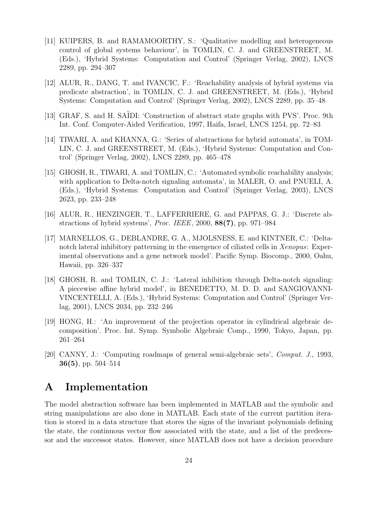- [11] KUIPERS, B. and RAMAMOORTHY, S.: 'Qualitative modelling and heterogeneous control of global systems behaviour', in TOMLIN, C. J. and GREENSTREET, M. (Eds.), 'Hybrid Systems: Computation and Control' (Springer Verlag, 2002), LNCS 2289, pp. 294–307
- [12] ALUR, R., DANG, T. and IVANCIC, F.: 'Reachability analysis of hybrid systems via predicate abstraction', in TOMLIN, C. J. and GREENSTREET, M. (Eds.), 'Hybrid Systems: Computation and Control' (Springer Verlag, 2002), LNCS 2289, pp. 35–48
- [13] GRAF, S. and H. SAÏDI: 'Construction of abstract state graphs with PVS'. Proc. 9th Int. Conf. Computer-Aided Verification, 1997, Haifa, Israel, LNCS 1254, pp. 72–83
- [14] TIWARI, A. and KHANNA, G.: 'Series of abstractions for hybrid automata', in TOM-LIN, C. J. and GREENSTREET, M. (Eds.), 'Hybrid Systems: Computation and Control' (Springer Verlag, 2002), LNCS 2289, pp. 465–478
- [15] GHOSH, R., TIWARI, A. and TOMLIN, C.: 'Automated symbolic reachability analysis; with application to Delta-notch signaling automata', in MALER, O. and PNUELI, A. (Eds.), 'Hybrid Systems: Computation and Control' (Springer Verlag, 2003), LNCS 2623, pp. 233–248
- [16] ALUR, R., HENZINGER, T., LAFFERRIERE, G. and PAPPAS, G. J.: 'Discrete abstractions of hybrid systems', Proc. IEEE, 2000, **88(7)**, pp. 971–984
- [17] MARNELLOS, G., DEBLANDRE, G. A., MJOLSNESS, E. and KINTNER, C.: 'Deltanotch lateral inhibitory patterning in the emergence of ciliated cells in Xenopus: Experimental observations and a gene network model'. Pacific Symp. Biocomp., 2000, Oahu, Hawaii, pp. 326–337
- [18] GHOSH, R. and TOMLIN, C. J.: 'Lateral inhibition through Delta-notch signaling: A piecewise affine hybrid model', in BENEDETTO, M. D. D. and SANGIOVANNI-VINCENTELLI, A. (Eds.), 'Hybrid Systems: Computation and Control' (Springer Verlag, 2001), LNCS 2034, pp. 232–246
- [19] HONG, H.: 'An improvement of the projection operator in cylindrical algebraic decomposition'. Proc. Int. Symp. Symbolic Algebraic Comp., 1990, Tokyo, Japan, pp. 261–264
- [20] CANNY, J.: 'Computing roadmaps of general semi-algebraic sets', Comput. J., 1993, **36(5)**, pp. 504–514

# **A Implementation**

The model abstraction software has been implemented in MATLAB and the symbolic and string manipulations are also done in MATLAB. Each state of the current partition iteration is stored in a data structure that stores the signs of the invariant polynomials defining the state, the continuous vector flow associated with the state, and a list of the predecessor and the successor states. However, since MATLAB does not have a decision procedure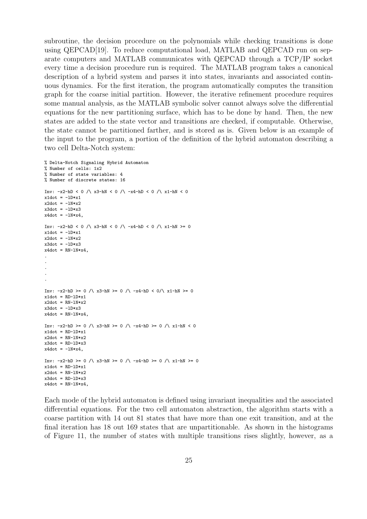subroutine, the decision procedure on the polynomials while checking transitions is done using QEPCAD[19]. To reduce computational load, MATLAB and QEPCAD run on separate computers and MATLAB communicates with QEPCAD through a TCP/IP socket every time a decision procedure run is required. The MATLAB program takes a canonical description of a hybrid system and parses it into states, invariants and associated continuous dynamics. For the first iteration, the program automatically computes the transition graph for the coarse initial partition. However, the iterative refinement procedure requires some manual analysis, as the MATLAB symbolic solver cannot always solve the differential equations for the new partitioning surface, which has to be done by hand. Then, the new states are added to the state vector and transitions are checked, if computable. Otherwise, the state cannot be partitioned farther, and is stored as is. Given below is an example of the input to the program, a portion of the definition of the hybrid automaton describing a two cell Delta-Notch system:

```
% Delta-Notch Signaling Hybrid Automaton
% Number of cells: 1x2
% Number of state variables: 4
% Number of discrete states: 16
Inv: -x2-hD < 0 / x3-hN < 0 / -x4-hD < 0 / x1-hN < 0x1dot = -1D*x1x2dot = -1N*x2x3dot = -1D*x3x4dot = -1N*x4.
Inv: -x2-hD < 0 / x3-hN < 0 / -x4-hD < 0 / x1-hN > = 0x1dot = -1D*x1x2dot = -1N*x2x3dot = -1D*x3x4dot = RN-1N*x4,
.
.
.
.
.
Inv: -x2-hD > = 0 / x3-hN > = 0 / -x4-hD < 0 / x1-hN > = 0x1\text{dot} = \text{RD}-1\text{D}*\text{v1}x2dot = RN-1N*x2x3dot = -1D*x3x4dot = RN-1N*x4,
Inv: -x2-hD >= 0 /\ x3-hN >= 0 /\ -x4-hD >= 0 /\ x1-hN < 0x1dot = RD-1D*x1x2dot = RN-1N*x2xdot = RD-1D*x3x4dot = -1N*x4,
Inv: -x2-hD > = 0 / x3-hN > = 0 / -x4-hD > = 0 / x1-hN > = 0x1dot = RD - 1D*x1x2dot = RN-1N*x2x3dot = RD-1D*x3x4dot = RN-1N*x4,
```
Each mode of the hybrid automaton is defined using invariant inequalities and the associated differential equations. For the two cell automaton abstraction, the algorithm starts with a coarse partition with 14 out 81 states that have more than one exit transition, and at the final iteration has 18 out 169 states that are unpartitionable. As shown in the histograms of Figure 11, the number of states with multiple transitions rises slightly, however, as a